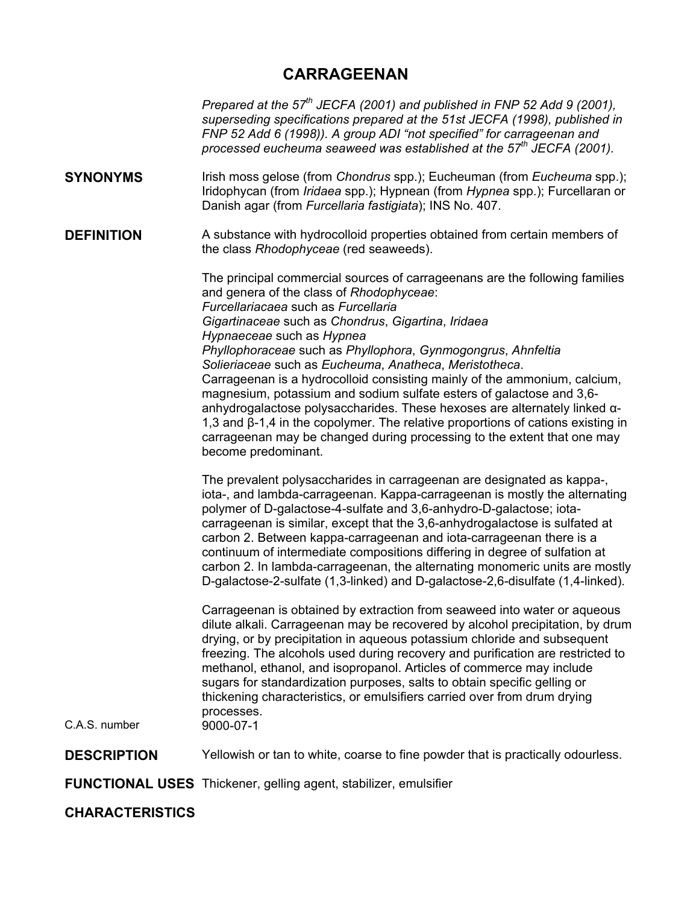# **CARRAGEENAN**

*Prepared at the 57th JECFA (2001) and published in FNP 52 Add 9 (2001), superseding specifications prepared at the 51st JECFA (1998), published in FNP 52 Add 6 (1998)). A group ADI "not specified" for carrageenan and processed eucheuma seaweed was established at the 57th JECFA (2001).* 

**SYNONYMS** Irish moss gelose (from *Chondrus* spp.); Eucheuman (from *Eucheuma* spp.); Iridophycan (from *Iridaea* spp.); Hypnean (from *Hypnea* spp.); Furcellaran or Danish agar (from *Furcellaria fastigiata*); INS No. 407.

**DEFINITION** A substance with hydrocolloid properties obtained from certain members of the class *Rhodophyceae* (red seaweeds).

> The principal commercial sources of carrageenans are the following families and genera of the class of *Rhodophyceae*: *Furcellariacaea* such as *Furcellaria Gigartinaceae* such as *Chondrus*, *Gigartina*, *Iridaea Hypnaeceae* such as *Hypnea Phyllophoraceae* such as *Phyllophora*, *Gynmogongrus*, *Ahnfeltia Solieriaceae* such as *Eucheuma*, *Anatheca*, *Meristotheca*. Carrageenan is a hydrocolloid consisting mainly of the ammonium, calcium, magnesium, potassium and sodium sulfate esters of galactose and 3,6 anhydrogalactose polysaccharides. These hexoses are alternately linked α-1,3 and β-1,4 in the copolymer. The relative proportions of cations existing in carrageenan may be changed during processing to the extent that one may become predominant.

> The prevalent polysaccharides in carrageenan are designated as kappa-, iota-, and lambda-carrageenan. Kappa-carrageenan is mostly the alternating polymer of D-galactose-4-sulfate and 3,6-anhydro-D-galactose; iotacarrageenan is similar, except that the 3,6-anhydrogalactose is sulfated at carbon 2. Between kappa-carrageenan and iota-carrageenan there is a continuum of intermediate compositions differing in degree of sulfation at carbon 2. In lambda-carrageenan, the alternating monomeric units are mostly D-galactose-2-sulfate (1,3-linked) and D-galactose-2,6-disulfate (1,4-linked).

> Carrageenan is obtained by extraction from seaweed into water or aqueous dilute alkali. Carrageenan may be recovered by alcohol precipitation, by drum drying, or by precipitation in aqueous potassium chloride and subsequent freezing. The alcohols used during recovery and purification are restricted to methanol, ethanol, and isopropanol. Articles of commerce may include sugars for standardization purposes, salts to obtain specific gelling or thickening characteristics, or emulsifiers carried over from drum drying processes.

C.A.S. number 9000-07-1

**DESCRIPTION** Yellowish or tan to white, coarse to fine powder that is practically odourless.

**FUNCTIONAL USES** Thickener, gelling agent, stabilizer, emulsifier

**CHARACTERISTICS**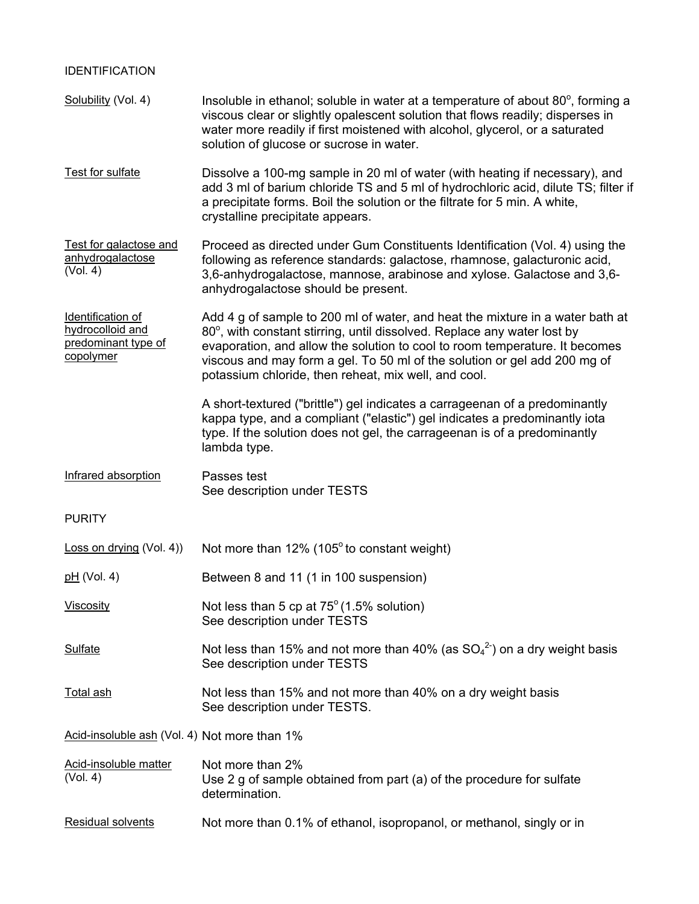| <b>IDENTIFICATION</b>                                                     |                                                                                                                                                                                                                                                                                                                                                                              |
|---------------------------------------------------------------------------|------------------------------------------------------------------------------------------------------------------------------------------------------------------------------------------------------------------------------------------------------------------------------------------------------------------------------------------------------------------------------|
| Solubility (Vol. 4)                                                       | Insoluble in ethanol; soluble in water at a temperature of about 80°, forming a<br>viscous clear or slightly opalescent solution that flows readily; disperses in<br>water more readily if first moistened with alcohol, glycerol, or a saturated<br>solution of glucose or sucrose in water.                                                                                |
| Test for sulfate                                                          | Dissolve a 100-mg sample in 20 ml of water (with heating if necessary), and<br>add 3 ml of barium chloride TS and 5 ml of hydrochloric acid, dilute TS; filter if<br>a precipitate forms. Boil the solution or the filtrate for 5 min. A white,<br>crystalline precipitate appears.                                                                                          |
| Test for galactose and<br>anhydrogalactose<br>(Vol. 4)                    | Proceed as directed under Gum Constituents Identification (Vol. 4) using the<br>following as reference standards: galactose, rhamnose, galacturonic acid,<br>3,6-anhydrogalactose, mannose, arabinose and xylose. Galactose and 3,6-<br>anhydrogalactose should be present.                                                                                                  |
| Identification of<br>hydrocolloid and<br>predominant type of<br>copolymer | Add 4 g of sample to 200 ml of water, and heat the mixture in a water bath at<br>80°, with constant stirring, until dissolved. Replace any water lost by<br>evaporation, and allow the solution to cool to room temperature. It becomes<br>viscous and may form a gel. To 50 ml of the solution or gel add 200 mg of<br>potassium chloride, then reheat, mix well, and cool. |
|                                                                           | A short-textured ("brittle") gel indicates a carrageenan of a predominantly<br>kappa type, and a compliant ("elastic") gel indicates a predominantly iota<br>type. If the solution does not gel, the carrageenan is of a predominantly<br>lambda type.                                                                                                                       |
| Infrared absorption                                                       | Passes test<br>See description under TESTS                                                                                                                                                                                                                                                                                                                                   |
| <b>PURITY</b>                                                             |                                                                                                                                                                                                                                                                                                                                                                              |
| Loss on drying (Vol. 4))                                                  | Not more than 12% (105° to constant weight)                                                                                                                                                                                                                                                                                                                                  |
| $pH$ (Vol. 4)                                                             | Between 8 and 11 (1 in 100 suspension)                                                                                                                                                                                                                                                                                                                                       |
| Viscosity                                                                 | Not less than 5 cp at $75^{\circ}$ (1.5% solution)<br>See description under TESTS                                                                                                                                                                                                                                                                                            |
| <b>Sulfate</b>                                                            | Not less than 15% and not more than 40% (as $SO_4^2$ ) on a dry weight basis<br>See description under TESTS                                                                                                                                                                                                                                                                  |
| <b>Total ash</b>                                                          | Not less than 15% and not more than 40% on a dry weight basis<br>See description under TESTS.                                                                                                                                                                                                                                                                                |
| Acid-insoluble ash (Vol. 4) Not more than 1%                              |                                                                                                                                                                                                                                                                                                                                                                              |
| Acid-insoluble matter<br>(Vol. 4)                                         | Not more than 2%<br>Use 2 g of sample obtained from part (a) of the procedure for sulfate<br>determination.                                                                                                                                                                                                                                                                  |
| Residual solvents                                                         | Not more than 0.1% of ethanol, isopropanol, or methanol, singly or in                                                                                                                                                                                                                                                                                                        |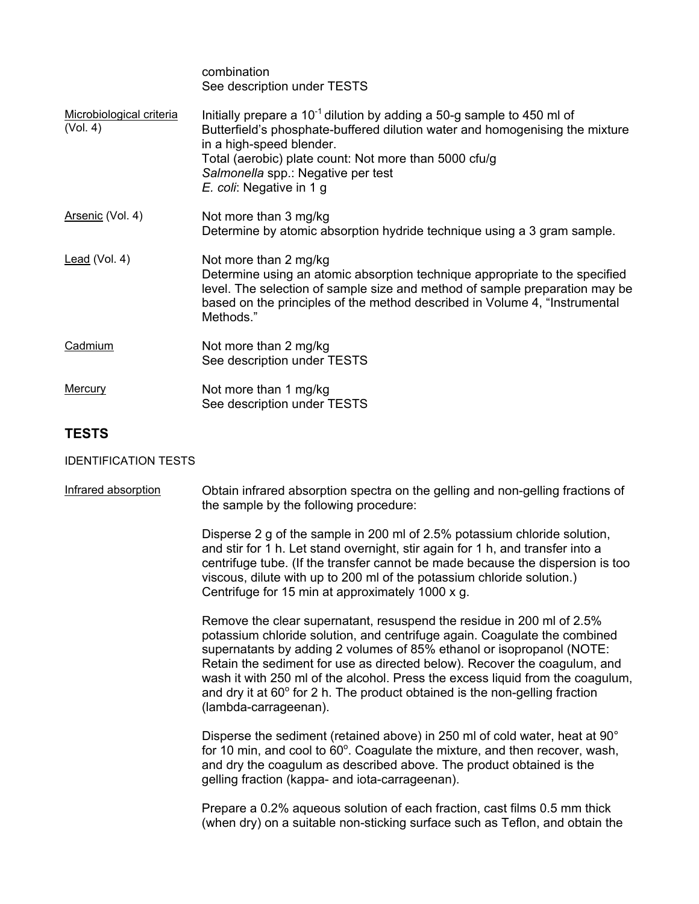|                                      | combination<br>See description under TESTS                                                                                                                                                                                                                                                                         |
|--------------------------------------|--------------------------------------------------------------------------------------------------------------------------------------------------------------------------------------------------------------------------------------------------------------------------------------------------------------------|
| Microbiological criteria<br>(Vol. 4) | Initially prepare a $10^{-1}$ dilution by adding a 50-g sample to 450 ml of<br>Butterfield's phosphate-buffered dilution water and homogenising the mixture<br>in a high-speed blender.<br>Total (aerobic) plate count: Not more than 5000 cfu/g<br>Salmonella spp.: Negative per test<br>E. coli: Negative in 1 g |
| Arsenic (Vol. 4)                     | Not more than 3 mg/kg<br>Determine by atomic absorption hydride technique using a 3 gram sample.                                                                                                                                                                                                                   |
| Lead (Vol. 4)                        | Not more than 2 mg/kg<br>Determine using an atomic absorption technique appropriate to the specified<br>level. The selection of sample size and method of sample preparation may be<br>based on the principles of the method described in Volume 4, "Instrumental<br>Methods."                                     |
| Cadmium                              | Not more than 2 mg/kg<br>See description under TESTS                                                                                                                                                                                                                                                               |
| <b>Mercury</b>                       | Not more than 1 mg/kg<br>See description under TESTS                                                                                                                                                                                                                                                               |

## **TESTS**

### IDENTIFICATION TESTS

Infrared absorption Obtain infrared absorption spectra on the gelling and non-gelling fractions of the sample by the following procedure:

> Disperse 2 g of the sample in 200 ml of 2.5% potassium chloride solution, and stir for 1 h. Let stand overnight, stir again for 1 h, and transfer into a centrifuge tube. (If the transfer cannot be made because the dispersion is too viscous, dilute with up to 200 ml of the potassium chloride solution.) Centrifuge for 15 min at approximately 1000 x g.

> Remove the clear supernatant, resuspend the residue in 200 ml of 2.5% potassium chloride solution, and centrifuge again. Coagulate the combined supernatants by adding 2 volumes of 85% ethanol or isopropanol (NOTE: Retain the sediment for use as directed below). Recover the coagulum, and wash it with 250 ml of the alcohol. Press the excess liquid from the coagulum, and dry it at  $60^{\circ}$  for 2 h. The product obtained is the non-gelling fraction (lambda-carrageenan).

Disperse the sediment (retained above) in 250 ml of cold water, heat at 90° for 10 min, and cool to  $60^\circ$ . Coagulate the mixture, and then recover, wash, and dry the coagulum as described above. The product obtained is the gelling fraction (kappa- and iota-carrageenan).

Prepare a 0.2% aqueous solution of each fraction, cast films 0.5 mm thick (when dry) on a suitable non-sticking surface such as Teflon, and obtain the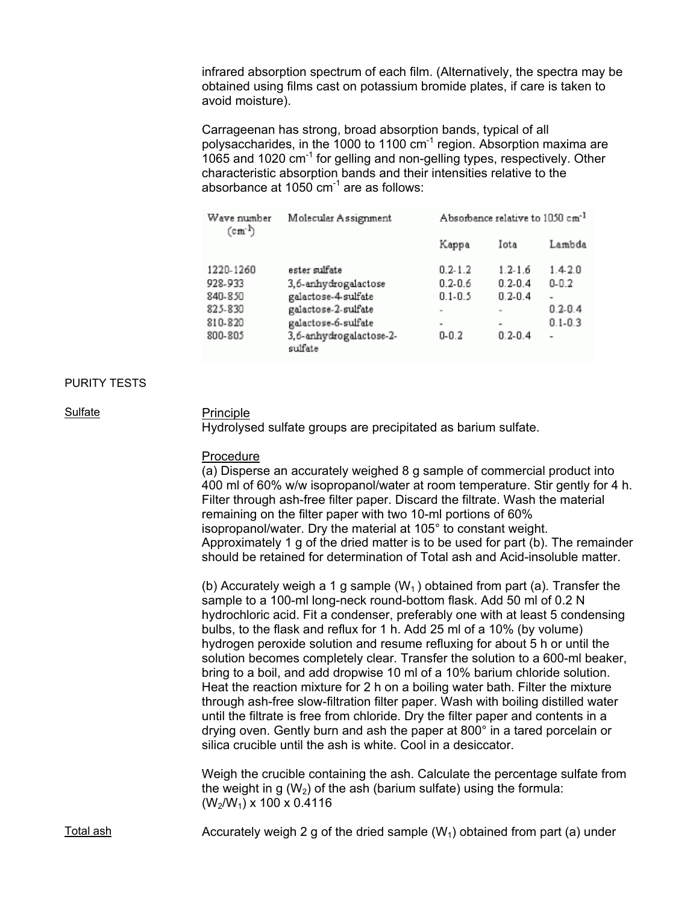infrared absorption spectrum of each film. (Alternatively, the spectra may be obtained using films cast on potassium bromide plates, if care is taken to avoid moisture).

Carrageenan has strong, broad absorption bands, typical of all polysaccharides, in the 1000 to 1100  $cm^{-1}$  region. Absorption maxima are 1065 and 1020 cm-1 for gelling and non-gelling types, respectively. Other characteristic absorption bands and their intensities relative to the absorbance at 1050  $cm^{-1}$  are as follows:

| Wave number<br>$(c m-1)$ | Molecular Assignment               | Absorbance relative to 1050 cm <sup>-1</sup> |                          |             |
|--------------------------|------------------------------------|----------------------------------------------|--------------------------|-------------|
|                          |                                    | Kappa                                        | Iota                     | Lambda      |
| 1220-1260                | ester sulfate                      | $0.2 - 1.2$                                  | $1.2 - 1.6$              | 1.42.0      |
| 928-933                  | 3,6-anhydrogalactose               | $0.2 - 0.6$                                  | $0.2 - 0.4$              | $0 - 0.2$   |
| 840-850                  | galactose-4-sulfate                | $0.1 - 0.5$                                  | $0.2 - 0.4$              | ٠           |
| 825-830                  | galactose-2-sulfate                | $\sim$                                       | $\overline{\phantom{a}}$ | $0.2 - 0.4$ |
| 810-820                  | galactose-6-sulfate                | $\blacksquare$                               | $\blacksquare$           | $0.1 - 0.3$ |
| 800-805                  | 3,6-anhydrogalactose-2-<br>sulfate | $0 - 0.2$                                    | $0.2 - 0.4$              | -           |

#### PURITY TESTS

#### Sulfate Principle

Hydrolysed sulfate groups are precipitated as barium sulfate.

#### Procedure

(a) Disperse an accurately weighed 8 g sample of commercial product into 400 ml of 60% w/w isopropanol/water at room temperature. Stir gently for 4 h. Filter through ash-free filter paper. Discard the filtrate. Wash the material remaining on the filter paper with two 10-ml portions of 60% isopropanol/water. Dry the material at 105° to constant weight. Approximately 1 g of the dried matter is to be used for part (b). The remainder should be retained for determination of Total ash and Acid-insoluble matter.

(b) Accurately weigh a 1 g sample  $(W_1)$  obtained from part (a). Transfer the sample to a 100-ml long-neck round-bottom flask. Add 50 ml of 0.2 N hydrochloric acid. Fit a condenser, preferably one with at least 5 condensing bulbs, to the flask and reflux for 1 h. Add 25 ml of a 10% (by volume) hydrogen peroxide solution and resume refluxing for about 5 h or until the solution becomes completely clear. Transfer the solution to a 600-ml beaker, bring to a boil, and add dropwise 10 ml of a 10% barium chloride solution. Heat the reaction mixture for 2 h on a boiling water bath. Filter the mixture through ash-free slow-filtration filter paper. Wash with boiling distilled water until the filtrate is free from chloride. Dry the filter paper and contents in a drying oven. Gently burn and ash the paper at 800° in a tared porcelain or silica crucible until the ash is white. Cool in a desiccator.

Weigh the crucible containing the ash. Calculate the percentage sulfate from the weight in g  $(W_2)$  of the ash (barium sulfate) using the formula:  $(W_2/W_1)$  x 100 x 0.4116

Total ash **Accurately weigh 2 g of the dried sample (W<sub>1</sub>)** obtained from part (a) under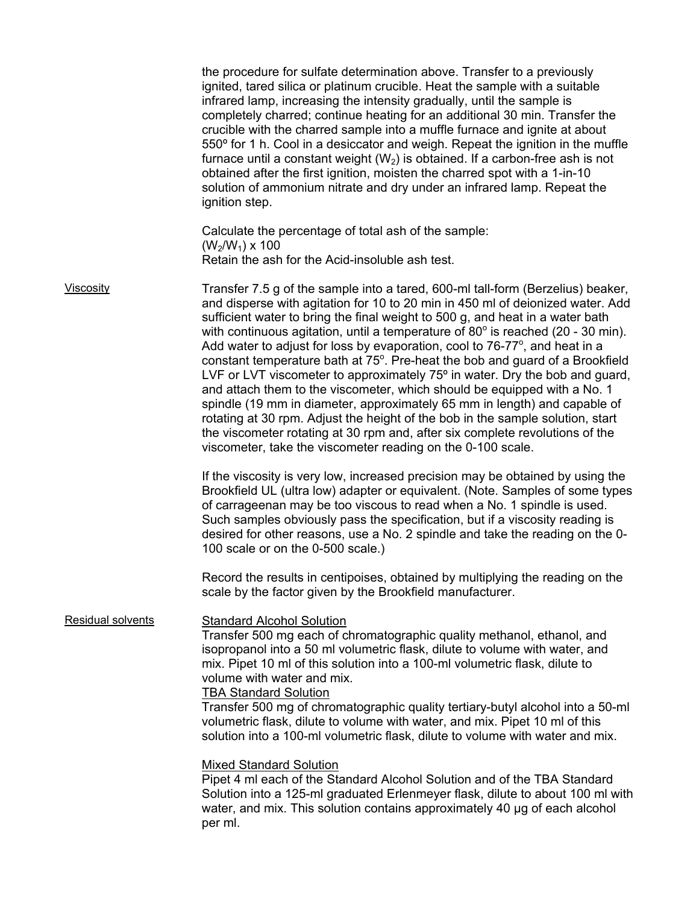|                   | the procedure for sulfate determination above. Transfer to a previously<br>ignited, tared silica or platinum crucible. Heat the sample with a suitable<br>infrared lamp, increasing the intensity gradually, until the sample is<br>completely charred; continue heating for an additional 30 min. Transfer the<br>crucible with the charred sample into a muffle furnace and ignite at about<br>550° for 1 h. Cool in a desiccator and weigh. Repeat the ignition in the muffle<br>furnace until a constant weight $(W_2)$ is obtained. If a carbon-free ash is not<br>obtained after the first ignition, moisten the charred spot with a 1-in-10<br>solution of ammonium nitrate and dry under an infrared lamp. Repeat the<br>ignition step.                                                                                                                                                                                                                                                    |
|-------------------|----------------------------------------------------------------------------------------------------------------------------------------------------------------------------------------------------------------------------------------------------------------------------------------------------------------------------------------------------------------------------------------------------------------------------------------------------------------------------------------------------------------------------------------------------------------------------------------------------------------------------------------------------------------------------------------------------------------------------------------------------------------------------------------------------------------------------------------------------------------------------------------------------------------------------------------------------------------------------------------------------|
|                   | Calculate the percentage of total ash of the sample:<br>$(W_2/W_1)$ x 100<br>Retain the ash for the Acid-insoluble ash test.                                                                                                                                                                                                                                                                                                                                                                                                                                                                                                                                                                                                                                                                                                                                                                                                                                                                       |
| Viscosity         | Transfer 7.5 g of the sample into a tared, 600-ml tall-form (Berzelius) beaker,<br>and disperse with agitation for 10 to 20 min in 450 ml of deionized water. Add<br>sufficient water to bring the final weight to 500 g, and heat in a water bath<br>with continuous agitation, until a temperature of $80^\circ$ is reached (20 - 30 min).<br>Add water to adjust for loss by evaporation, cool to $76-77$ <sup>o</sup> , and heat in a<br>constant temperature bath at 75°. Pre-heat the bob and guard of a Brookfield<br>LVF or LVT viscometer to approximately 75° in water. Dry the bob and guard,<br>and attach them to the viscometer, which should be equipped with a No. 1<br>spindle (19 mm in diameter, approximately 65 mm in length) and capable of<br>rotating at 30 rpm. Adjust the height of the bob in the sample solution, start<br>the viscometer rotating at 30 rpm and, after six complete revolutions of the<br>viscometer, take the viscometer reading on the 0-100 scale. |
|                   | If the viscosity is very low, increased precision may be obtained by using the<br>Brookfield UL (ultra low) adapter or equivalent. (Note. Samples of some types<br>of carrageenan may be too viscous to read when a No. 1 spindle is used.<br>Such samples obviously pass the specification, but if a viscosity reading is<br>desired for other reasons, use a No. 2 spindle and take the reading on the 0-<br>100 scale or on the 0-500 scale.)                                                                                                                                                                                                                                                                                                                                                                                                                                                                                                                                                   |
|                   | Record the results in centipoises, obtained by multiplying the reading on the<br>scale by the factor given by the Brookfield manufacturer.                                                                                                                                                                                                                                                                                                                                                                                                                                                                                                                                                                                                                                                                                                                                                                                                                                                         |
| Residual solvents | <b>Standard Alcohol Solution</b><br>Transfer 500 mg each of chromatographic quality methanol, ethanol, and<br>isopropanol into a 50 ml volumetric flask, dilute to volume with water, and<br>mix. Pipet 10 ml of this solution into a 100-ml volumetric flask, dilute to<br>volume with water and mix.<br><b>TBA Standard Solution</b><br>Transfer 500 mg of chromatographic quality tertiary-butyl alcohol into a 50-ml<br>volumetric flask, dilute to volume with water, and mix. Pipet 10 ml of this<br>solution into a 100-ml volumetric flask, dilute to volume with water and mix.                                                                                                                                                                                                                                                                                                                                                                                                           |
|                   | <b>Mixed Standard Solution</b><br>Pipet 4 ml each of the Standard Alcohol Solution and of the TBA Standard<br>Solution into a 125-ml graduated Erlenmeyer flask, dilute to about 100 ml with<br>water, and mix. This solution contains approximately 40 µg of each alcohol<br>per ml.                                                                                                                                                                                                                                                                                                                                                                                                                                                                                                                                                                                                                                                                                                              |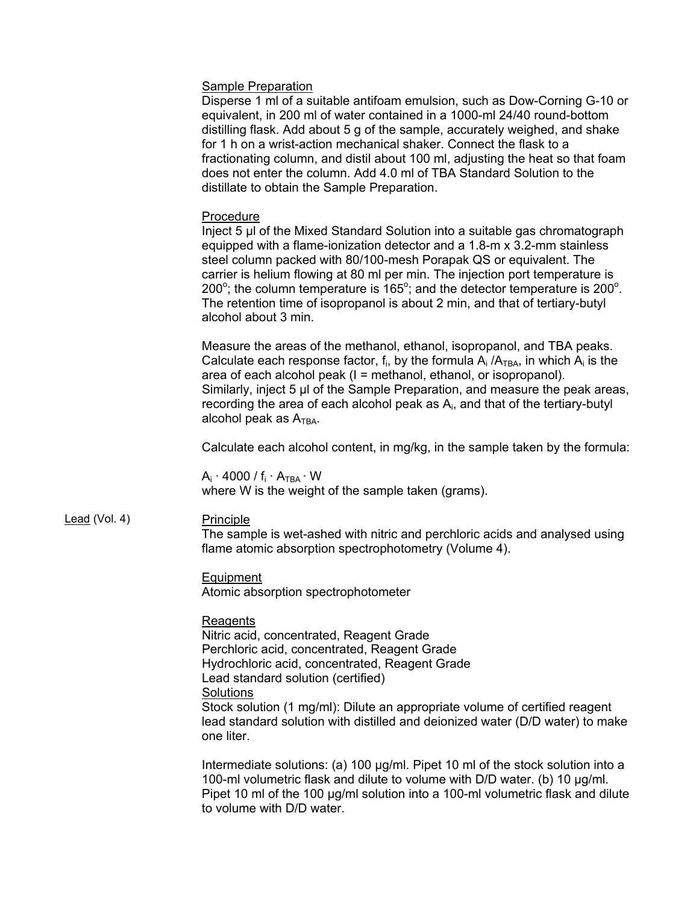#### Sample Preparation

Disperse 1 ml of a suitable antifoam emulsion, such as Dow-Corning G-10 or equivalent, in 200 ml of water contained in a 1000-ml 24/40 round-bottom distilling flask. Add about 5 g of the sample, accurately weighed, and shake for 1 h on a wrist-action mechanical shaker. Connect the flask to a fractionating column, and distil about 100 ml, adjusting the heat so that foam does not enter the column. Add 4.0 ml of TBA Standard Solution to the distillate to obtain the Sample Preparation.

#### Procedure

Inject 5 µl of the Mixed Standard Solution into a suitable gas chromatograph equipped with a flame-ionization detector and a 1.8-m x 3.2-mm stainless steel column packed with 80/100-mesh Porapak QS or equivalent. The carrier is helium flowing at 80 ml per min. The injection port temperature is  $200^\circ$ ; the column temperature is 165 $^\circ$ ; and the detector temperature is 200 $^\circ$ . The retention time of isopropanol is about 2 min, and that of tertiary-butyl alcohol about 3 min.

Measure the areas of the methanol, ethanol, isopropanol, and TBA peaks. Calculate each response factor,  $f_i$ , by the formula  $A_i / A_{TBA}$ , in which  $A_i$  is the area of each alcohol peak (I = methanol, ethanol, or isopropanol). Similarly, inject 5 µl of the Sample Preparation, and measure the peak areas, recording the area of each alcohol peak as Ai, and that of the tertiary-butyl alcohol peak as  $A_{TBA}$ .

Calculate each alcohol content, in mg/kg, in the sample taken by the formula:

 $A_i \cdot 4000 / f_i \cdot A_{TBA} \cdot W$ where W is the weight of the sample taken (grams).

### Lead (Vol. 4) Principle

The sample is wet-ashed with nitric and perchloric acids and analysed using flame atomic absorption spectrophotometry (Volume 4).

#### Equipment

Atomic absorption spectrophotometer

#### Reagents

Nitric acid, concentrated, Reagent Grade Perchloric acid, concentrated, Reagent Grade Hydrochloric acid, concentrated, Reagent Grade Lead standard solution (certified) **Solutions** Stock solution (1 mg/ml): Dilute an appropriate volume of certified reagent lead standard solution with distilled and deionized water (D/D water) to make one liter.

Intermediate solutions: (a) 100 µg/ml. Pipet 10 ml of the stock solution into a 100-ml volumetric flask and dilute to volume with D/D water. (b) 10 µg/ml. Pipet 10 ml of the 100 µg/ml solution into a 100-ml volumetric flask and dilute to volume with D/D water.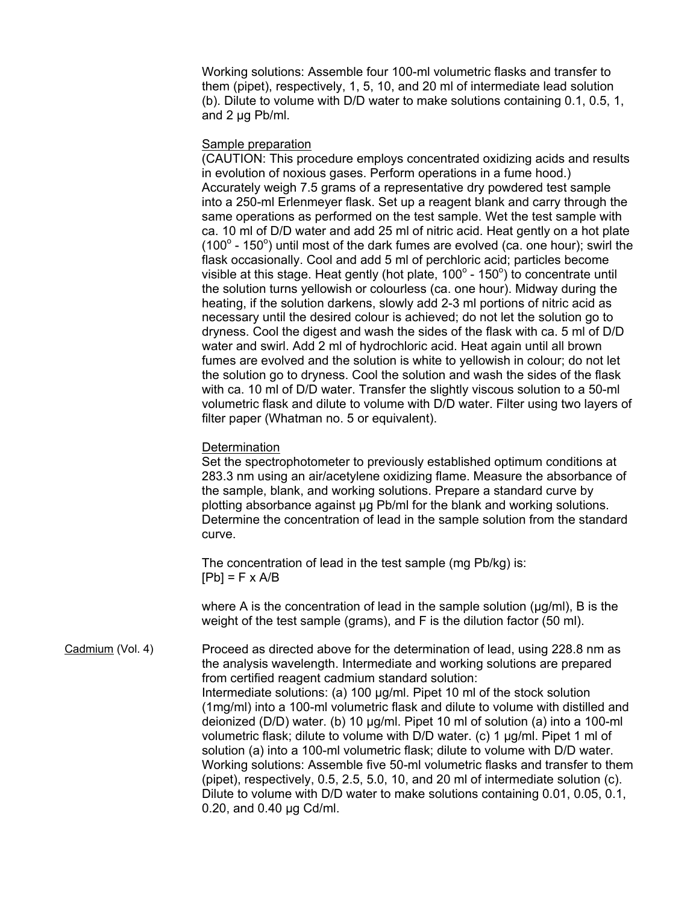Working solutions: Assemble four 100-ml volumetric flasks and transfer to them (pipet), respectively, 1, 5, 10, and 20 ml of intermediate lead solution (b). Dilute to volume with D/D water to make solutions containing 0.1, 0.5, 1, and 2 µg Pb/ml.

#### Sample preparation

(CAUTION: This procedure employs concentrated oxidizing acids and results in evolution of noxious gases. Perform operations in a fume hood.) Accurately weigh 7.5 grams of a representative dry powdered test sample into a 250-ml Erlenmeyer flask. Set up a reagent blank and carry through the same operations as performed on the test sample. Wet the test sample with ca. 10 ml of D/D water and add 25 ml of nitric acid. Heat gently on a hot plate (100 $^{\circ}$  - 150 $^{\circ}$ ) until most of the dark fumes are evolved (ca. one hour); swirl the flask occasionally. Cool and add 5 ml of perchloric acid; particles become visible at this stage. Heat gently (hot plate,  $100^\circ$  -  $150^\circ$ ) to concentrate until the solution turns yellowish or colourless (ca. one hour). Midway during the heating, if the solution darkens, slowly add 2-3 ml portions of nitric acid as necessary until the desired colour is achieved; do not let the solution go to dryness. Cool the digest and wash the sides of the flask with ca. 5 ml of D/D water and swirl. Add 2 ml of hydrochloric acid. Heat again until all brown fumes are evolved and the solution is white to yellowish in colour; do not let the solution go to dryness. Cool the solution and wash the sides of the flask with ca. 10 ml of D/D water. Transfer the slightly viscous solution to a 50-ml volumetric flask and dilute to volume with D/D water. Filter using two layers of filter paper (Whatman no. 5 or equivalent).

### **Determination**

Set the spectrophotometer to previously established optimum conditions at 283.3 nm using an air/acetylene oxidizing flame. Measure the absorbance of the sample, blank, and working solutions. Prepare a standard curve by plotting absorbance against µg Pb/ml for the blank and working solutions. Determine the concentration of lead in the sample solution from the standard curve.

The concentration of lead in the test sample (mg Pb/kg) is:  $[Pb] = F \times A/B$ 

where A is the concentration of lead in the sample solution  $(\mu q/ml)$ , B is the weight of the test sample (grams), and F is the dilution factor (50 ml).

Cadmium (Vol. 4) Proceed as directed above for the determination of lead, using 228.8 nm as the analysis wavelength. Intermediate and working solutions are prepared from certified reagent cadmium standard solution: Intermediate solutions: (a) 100 µg/ml. Pipet 10 ml of the stock solution (1mg/ml) into a 100-ml volumetric flask and dilute to volume with distilled and deionized (D/D) water. (b) 10 µg/ml. Pipet 10 ml of solution (a) into a 100-ml volumetric flask; dilute to volume with D/D water. (c) 1 µg/ml. Pipet 1 ml of solution (a) into a 100-ml volumetric flask; dilute to volume with D/D water. Working solutions: Assemble five 50-ml volumetric flasks and transfer to them (pipet), respectively, 0.5, 2.5, 5.0, 10, and 20 ml of intermediate solution (c). Dilute to volume with D/D water to make solutions containing 0.01, 0.05, 0.1, 0.20, and 0.40 µg Cd/ml.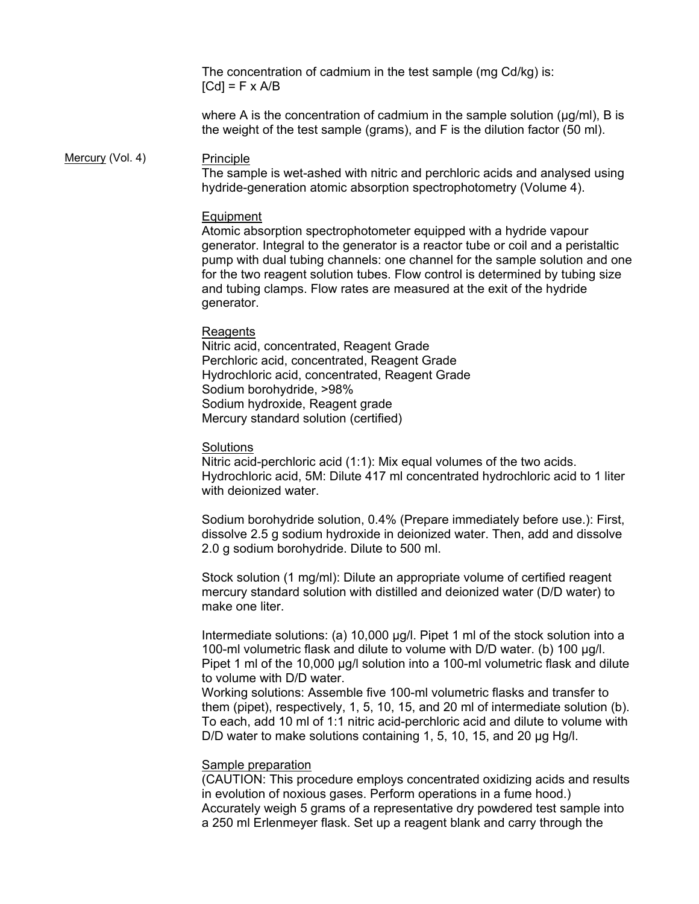The concentration of cadmium in the test sample (mg Cd/kg) is:  $[Cd] = F \times A/B$ 

where A is the concentration of cadmium in the sample solution ( $\mu$ g/ml), B is the weight of the test sample (grams), and F is the dilution factor (50 ml).

#### Mercury (Vol. 4) Principle

The sample is wet-ashed with nitric and perchloric acids and analysed using hydride-generation atomic absorption spectrophotometry (Volume 4).

#### **Equipment**

Atomic absorption spectrophotometer equipped with a hydride vapour generator. Integral to the generator is a reactor tube or coil and a peristaltic pump with dual tubing channels: one channel for the sample solution and one for the two reagent solution tubes. Flow control is determined by tubing size and tubing clamps. Flow rates are measured at the exit of the hydride generator.

#### Reagents

Nitric acid, concentrated, Reagent Grade Perchloric acid, concentrated, Reagent Grade Hydrochloric acid, concentrated, Reagent Grade Sodium borohydride, >98% Sodium hydroxide, Reagent grade Mercury standard solution (certified)

### **Solutions**

Nitric acid-perchloric acid (1:1): Mix equal volumes of the two acids. Hydrochloric acid, 5M: Dilute 417 ml concentrated hydrochloric acid to 1 liter with deionized water.

Sodium borohydride solution, 0.4% (Prepare immediately before use.): First, dissolve 2.5 g sodium hydroxide in deionized water. Then, add and dissolve 2.0 g sodium borohydride. Dilute to 500 ml.

Stock solution (1 mg/ml): Dilute an appropriate volume of certified reagent mercury standard solution with distilled and deionized water (D/D water) to make one liter.

Intermediate solutions: (a) 10,000 µg/l. Pipet 1 ml of the stock solution into a 100-ml volumetric flask and dilute to volume with D/D water. (b) 100 µg/l. Pipet 1 ml of the 10,000 µg/l solution into a 100-ml volumetric flask and dilute to volume with D/D water.

Working solutions: Assemble five 100-ml volumetric flasks and transfer to them (pipet), respectively, 1, 5, 10, 15, and 20 ml of intermediate solution (b). To each, add 10 ml of 1:1 nitric acid-perchloric acid and dilute to volume with D/D water to make solutions containing 1, 5, 10, 15, and 20 µg Hg/l.

#### Sample preparation

(CAUTION: This procedure employs concentrated oxidizing acids and results in evolution of noxious gases. Perform operations in a fume hood.) Accurately weigh 5 grams of a representative dry powdered test sample into a 250 ml Erlenmeyer flask. Set up a reagent blank and carry through the